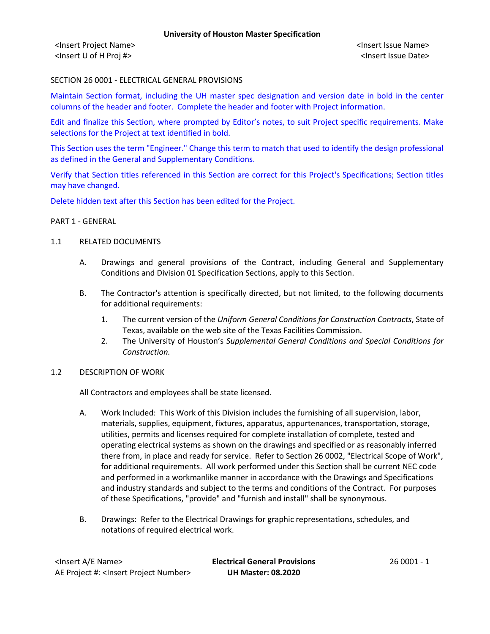<Insert Project Name> <Insert Issue Name> <Insert U of H Proj #> <Insert Issue Date>

### SECTION 26 0001 - ELECTRICAL GENERAL PROVISIONS

Maintain Section format, including the UH master spec designation and version date in bold in the center columns of the header and footer. Complete the header and footer with Project information.

Edit and finalize this Section, where prompted by Editor's notes, to suit Project specific requirements. Make selections for the Project at text identified in bold.

This Section uses the term "Engineer." Change this term to match that used to identify the design professional as defined in the General and Supplementary Conditions.

Verify that Section titles referenced in this Section are correct for this Project's Specifications; Section titles may have changed.

Delete hidden text after this Section has been edited for the Project.

#### PART 1 - GENERAL

### 1.1 RELATED DOCUMENTS

- A. Drawings and general provisions of the Contract, including General and Supplementary Conditions and Division 01 Specification Sections, apply to this Section.
- B. The Contractor's attention is specifically directed, but not limited, to the following documents for additional requirements:
	- 1. The current version of the *Uniform General Conditions for Construction Contracts*, State of Texas, available on the web site of the Texas Facilities Commission.
	- 2. The University of Houston's *Supplemental General Conditions and Special Conditions for Construction.*

#### 1.2 DESCRIPTION OF WORK

All Contractors and employees shall be state licensed.

- A. Work Included: This Work of this Division includes the furnishing of all supervision, labor, materials, supplies, equipment, fixtures, apparatus, appurtenances, transportation, storage, utilities, permits and licenses required for complete installation of complete, tested and operating electrical systems as shown on the drawings and specified or as reasonably inferred there from, in place and ready for service. Refer to Section 26 0002, "Electrical Scope of Work", for additional requirements. All work performed under this Section shall be current NEC code and performed in a workmanlike manner in accordance with the Drawings and Specifications and industry standards and subject to the terms and conditions of the Contract. For purposes of these Specifications, "provide" and "furnish and install" shall be synonymous.
- B. Drawings: Refer to the Electrical Drawings for graphic representations, schedules, and notations of required electrical work.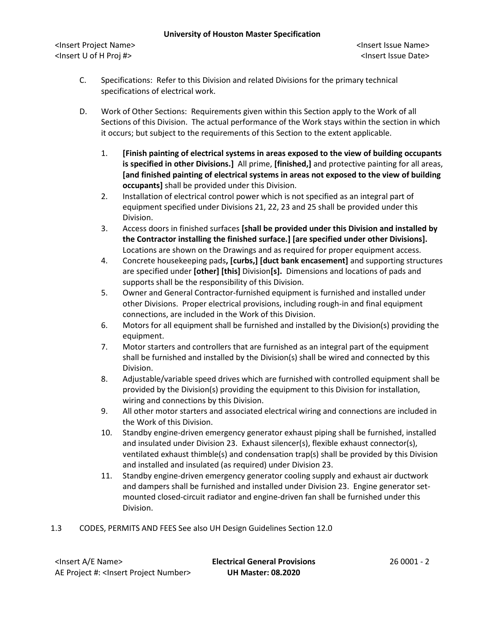<Insert Project Name> <Insert Issue Name> <Insert U of H Proj #> <Insert Issue Date>

- C. Specifications: Refer to this Division and related Divisions for the primary technical specifications of electrical work.
- D. Work of Other Sections: Requirements given within this Section apply to the Work of all Sections of this Division. The actual performance of the Work stays within the section in which it occurs; but subject to the requirements of this Section to the extent applicable.
	- 1. **[Finish painting of electrical systems in areas exposed to the view of building occupants is specified in other Divisions.]** All prime, **[finished,]** and protective painting for all areas, **[and finished painting of electrical systems in areas not exposed to the view of building occupants]** shall be provided under this Division.
	- 2. Installation of electrical control power which is not specified as an integral part of equipment specified under Divisions 21, 22, 23 and 25 shall be provided under this Division.
	- 3. Access doors in finished surfaces **[shall be provided under this Division and installed by the Contractor installing the finished surface.] [are specified under other Divisions].** Locations are shown on the Drawings and as required for proper equipment access.
	- 4. Concrete housekeeping pads**, [curbs,] [duct bank encasement]** and supporting structures are specified under **[other] [this]** Division**[s].** Dimensions and locations of pads and supports shall be the responsibility of this Division.
	- 5. Owner and General Contractor-furnished equipment is furnished and installed under other Divisions. Proper electrical provisions, including rough-in and final equipment connections, are included in the Work of this Division.
	- 6. Motors for all equipment shall be furnished and installed by the Division(s) providing the equipment.
	- 7. Motor starters and controllers that are furnished as an integral part of the equipment shall be furnished and installed by the Division(s) shall be wired and connected by this Division.
	- 8. Adjustable/variable speed drives which are furnished with controlled equipment shall be provided by the Division(s) providing the equipment to this Division for installation, wiring and connections by this Division.
	- 9. All other motor starters and associated electrical wiring and connections are included in the Work of this Division.
	- 10. Standby engine-driven emergency generator exhaust piping shall be furnished, installed and insulated under Division 23. Exhaust silencer(s), flexible exhaust connector(s), ventilated exhaust thimble(s) and condensation trap(s) shall be provided by this Division and installed and insulated (as required) under Division 23.
	- 11. Standby engine-driven emergency generator cooling supply and exhaust air ductwork and dampers shall be furnished and installed under Division 23. Engine generator setmounted closed-circuit radiator and engine-driven fan shall be furnished under this Division.

## 1.3 CODES, PERMITS AND FEES See also UH Design Guidelines Section 12.0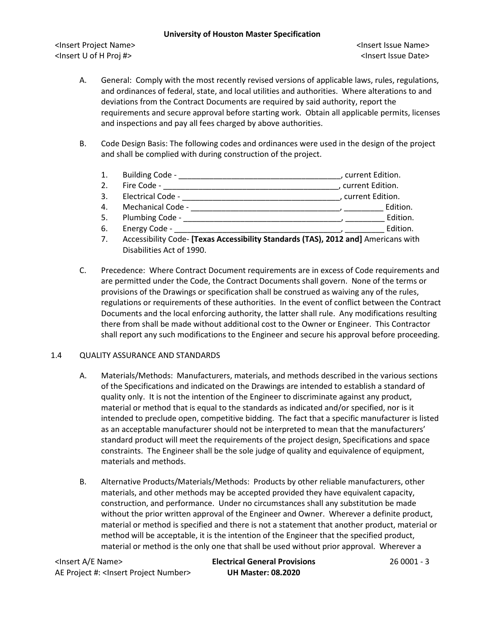<Insert Project Name> <Insert Issue Name> <Insert U of H Proj #> <Insert Issue Date>

- A. General: Comply with the most recently revised versions of applicable laws, rules, regulations, and ordinances of federal, state, and local utilities and authorities. Where alterations to and deviations from the Contract Documents are required by said authority, report the requirements and secure approval before starting work. Obtain all applicable permits, licenses and inspections and pay all fees charged by above authorities.
- B. Code Design Basis: The following codes and ordinances were used in the design of the project and shall be complied with during construction of the project.
	- 1. Building Code \_\_\_\_\_\_\_\_\_\_\_\_\_\_\_\_\_\_\_\_\_\_\_\_\_\_\_\_\_\_\_\_\_\_\_\_\_, current Edition.
	- 2. Fire Code \_\_\_\_\_\_\_\_\_\_\_\_\_\_\_\_\_\_\_\_\_\_\_\_\_\_\_\_\_\_\_\_\_\_\_\_\_\_\_\_, current Edition.
	- 3. Electrical Code \_\_\_\_\_\_\_\_\_\_\_\_\_\_\_\_\_\_\_\_\_\_\_\_\_\_\_\_\_\_\_\_\_\_\_\_, current Edition.
	- 4. Mechanical Code \_\_\_\_\_\_\_\_\_\_\_\_\_\_\_\_\_\_\_\_\_\_\_\_\_\_\_\_\_\_\_\_\_\_, \_\_\_\_\_\_\_\_\_ Edition.
	- 5. Plumbing Code \_\_\_\_\_\_\_\_\_\_\_\_\_\_\_\_\_\_\_\_\_\_\_\_\_\_\_\_\_\_\_\_\_\_\_\_, \_\_\_\_\_\_\_\_\_ Edition.
	- 6. Energy Code \_\_\_\_\_\_\_\_\_\_\_\_\_\_\_\_\_\_\_\_\_\_\_\_\_\_\_\_\_\_\_\_\_\_\_\_\_\_, \_\_\_\_\_\_\_\_\_ Edition.
	- 7. Accessibility Code- **[Texas Accessibility Standards (TAS), 2012 and]** Americans with Disabilities Act of 1990.
- C. Precedence: Where Contract Document requirements are in excess of Code requirements and are permitted under the Code, the Contract Documents shall govern. None of the terms or provisions of the Drawings or specification shall be construed as waiving any of the rules, regulations or requirements of these authorities. In the event of conflict between the Contract Documents and the local enforcing authority, the latter shall rule. Any modifications resulting there from shall be made without additional cost to the Owner or Engineer. This Contractor shall report any such modifications to the Engineer and secure his approval before proceeding.

## 1.4 QUALITY ASSURANCE AND STANDARDS

- A. Materials/Methods: Manufacturers, materials, and methods described in the various sections of the Specifications and indicated on the Drawings are intended to establish a standard of quality only. It is not the intention of the Engineer to discriminate against any product, material or method that is equal to the standards as indicated and/or specified, nor is it intended to preclude open, competitive bidding. The fact that a specific manufacturer is listed as an acceptable manufacturer should not be interpreted to mean that the manufacturers' standard product will meet the requirements of the project design, Specifications and space constraints. The Engineer shall be the sole judge of quality and equivalence of equipment, materials and methods.
- B. Alternative Products/Materials/Methods: Products by other reliable manufacturers, other materials, and other methods may be accepted provided they have equivalent capacity, construction, and performance. Under no circumstances shall any substitution be made without the prior written approval of the Engineer and Owner. Wherever a definite product, material or method is specified and there is not a statement that another product, material or method will be acceptable, it is the intention of the Engineer that the specified product, material or method is the only one that shall be used without prior approval. Wherever a

<Insert A/E Name> **Electrical General Provisions** 26 0001 - 3 AE Project #: <Insert Project Number> **UH Master: 08.2020**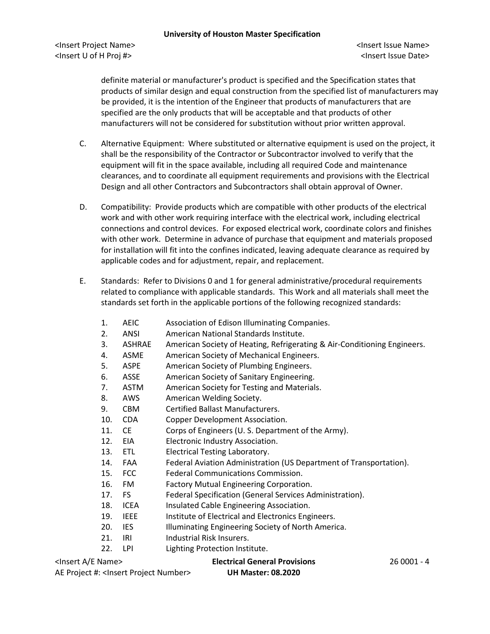definite material or manufacturer's product is specified and the Specification states that products of similar design and equal construction from the specified list of manufacturers may be provided, it is the intention of the Engineer that products of manufacturers that are specified are the only products that will be acceptable and that products of other manufacturers will not be considered for substitution without prior written approval.

- C. Alternative Equipment: Where substituted or alternative equipment is used on the project, it shall be the responsibility of the Contractor or Subcontractor involved to verify that the equipment will fit in the space available, including all required Code and maintenance clearances, and to coordinate all equipment requirements and provisions with the Electrical Design and all other Contractors and Subcontractors shall obtain approval of Owner.
- D. Compatibility: Provide products which are compatible with other products of the electrical work and with other work requiring interface with the electrical work, including electrical connections and control devices. For exposed electrical work, coordinate colors and finishes with other work. Determine in advance of purchase that equipment and materials proposed for installation will fit into the confines indicated, leaving adequate clearance as required by applicable codes and for adjustment, repair, and replacement.
- E. Standards: Refer to Divisions 0 and 1 for general administrative/procedural requirements related to compliance with applicable standards. This Work and all materials shall meet the standards set forth in the applicable portions of the following recognized standards:
	- 1. AEIC Association of Edison Illuminating Companies.
	- 2. ANSI American National Standards Institute.
	- 3. ASHRAE American Society of Heating, Refrigerating & Air-Conditioning Engineers.
	- 4. ASME American Society of Mechanical Engineers.
	- 5. ASPE American Society of Plumbing Engineers.
	- 6. ASSE American Society of Sanitary Engineering.
	- 7. ASTM American Society for Testing and Materials.
	- 8. AWS American Welding Society.
	- 9. CBM Certified Ballast Manufacturers.
	- 10. CDA Copper Development Association.
	- 11. CE Corps of Engineers (U. S. Department of the Army).
	- 12. EIA Electronic Industry Association.
	- 13. ETL Electrical Testing Laboratory.
	- 14. FAA Federal Aviation Administration (US Department of Transportation).
	- 15. FCC Federal Communications Commission.
	- 16. FM Factory Mutual Engineering Corporation.
	- 17. FS Federal Specification (General Services Administration).
	- 18. ICEA Insulated Cable Engineering Association.
	- 19. IEEE Institute of Electrical and Electronics Engineers.
	- 20. IES Illuminating Engineering Society of North America.
	- 21. IRI Industrial Risk Insurers.
	- 22. LPI Lighting Protection Institute.

# <Insert A/E Name> **Electrical General Provisions** 26 0001 - 4

AE Project #: <Insert Project Number> **UH Master: 08.2020**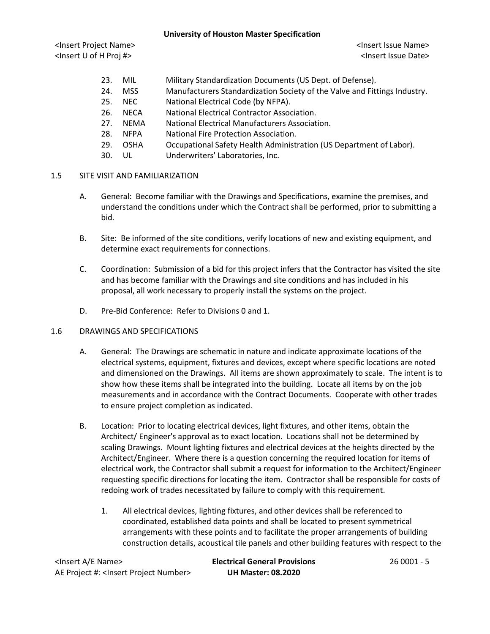<Insert Project Name> <Insert Issue Name> <Insert U of H Proj #> <Insert Issue Date>

- 23. MIL Military Standardization Documents (US Dept. of Defense).
- 24. MSS Manufacturers Standardization Society of the Valve and Fittings Industry.
- 25. NEC National Electrical Code (by NFPA).
- 26. NECA National Electrical Contractor Association.
- 27. NEMA National Electrical Manufacturers Association.
- 28. NFPA National Fire Protection Association.
- 29. OSHA Occupational Safety Health Administration (US Department of Labor).
- 30. UL Underwriters' Laboratories, Inc.

## 1.5 SITE VISIT AND FAMILIARIZATION

- A. General: Become familiar with the Drawings and Specifications, examine the premises, and understand the conditions under which the Contract shall be performed, prior to submitting a bid.
- B. Site: Be informed of the site conditions, verify locations of new and existing equipment, and determine exact requirements for connections.
- C. Coordination: Submission of a bid for this project infers that the Contractor has visited the site and has become familiar with the Drawings and site conditions and has included in his proposal, all work necessary to properly install the systems on the project.
- D. Pre-Bid Conference: Refer to Divisions 0 and 1.

#### 1.6 DRAWINGS AND SPECIFICATIONS

- A. General: The Drawings are schematic in nature and indicate approximate locations of the electrical systems, equipment, fixtures and devices, except where specific locations are noted and dimensioned on the Drawings. All items are shown approximately to scale. The intent is to show how these items shall be integrated into the building. Locate all items by on the job measurements and in accordance with the Contract Documents. Cooperate with other trades to ensure project completion as indicated.
- B. Location: Prior to locating electrical devices, light fixtures, and other items, obtain the Architect/ Engineer's approval as to exact location. Locations shall not be determined by scaling Drawings. Mount lighting fixtures and electrical devices at the heights directed by the Architect/Engineer. Where there is a question concerning the required location for items of electrical work, the Contractor shall submit a request for information to the Architect/Engineer requesting specific directions for locating the item. Contractor shall be responsible for costs of redoing work of trades necessitated by failure to comply with this requirement.
	- 1. All electrical devices, lighting fixtures, and other devices shall be referenced to coordinated, established data points and shall be located to present symmetrical arrangements with these points and to facilitate the proper arrangements of building construction details, acoustical tile panels and other building features with respect to the

<Insert A/E Name> **Electrical General Provisions** 26 0001 - 5 AE Project #: <Insert Project Number> **UH Master: 08.2020**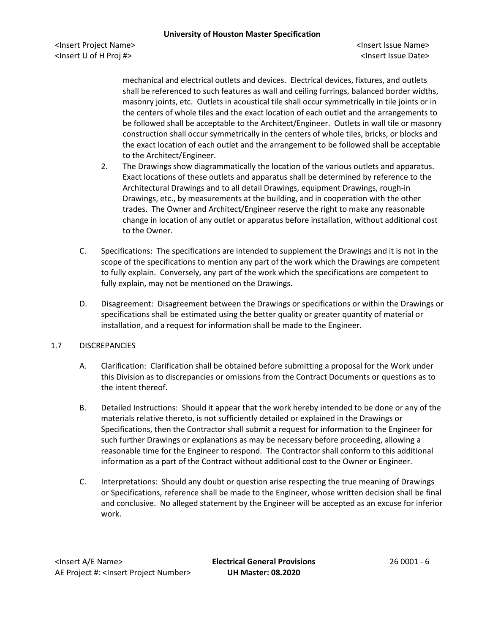<Insert Project Name> <Insert Issue Name> <Insert U of H Proj #> <Insert Issue Date>

mechanical and electrical outlets and devices. Electrical devices, fixtures, and outlets shall be referenced to such features as wall and ceiling furrings, balanced border widths, masonry joints, etc. Outlets in acoustical tile shall occur symmetrically in tile joints or in the centers of whole tiles and the exact location of each outlet and the arrangements to be followed shall be acceptable to the Architect/Engineer. Outlets in wall tile or masonry construction shall occur symmetrically in the centers of whole tiles, bricks, or blocks and the exact location of each outlet and the arrangement to be followed shall be acceptable to the Architect/Engineer.

- 2. The Drawings show diagrammatically the location of the various outlets and apparatus. Exact locations of these outlets and apparatus shall be determined by reference to the Architectural Drawings and to all detail Drawings, equipment Drawings, rough-in Drawings, etc., by measurements at the building, and in cooperation with the other trades. The Owner and Architect/Engineer reserve the right to make any reasonable change in location of any outlet or apparatus before installation, without additional cost to the Owner.
- C. Specifications: The specifications are intended to supplement the Drawings and it is not in the scope of the specifications to mention any part of the work which the Drawings are competent to fully explain. Conversely, any part of the work which the specifications are competent to fully explain, may not be mentioned on the Drawings.
- D. Disagreement: Disagreement between the Drawings or specifications or within the Drawings or specifications shall be estimated using the better quality or greater quantity of material or installation, and a request for information shall be made to the Engineer.

## 1.7 DISCREPANCIES

- A. Clarification: Clarification shall be obtained before submitting a proposal for the Work under this Division as to discrepancies or omissions from the Contract Documents or questions as to the intent thereof.
- B. Detailed Instructions: Should it appear that the work hereby intended to be done or any of the materials relative thereto, is not sufficiently detailed or explained in the Drawings or Specifications, then the Contractor shall submit a request for information to the Engineer for such further Drawings or explanations as may be necessary before proceeding, allowing a reasonable time for the Engineer to respond. The Contractor shall conform to this additional information as a part of the Contract without additional cost to the Owner or Engineer.
- C. Interpretations: Should any doubt or question arise respecting the true meaning of Drawings or Specifications, reference shall be made to the Engineer, whose written decision shall be final and conclusive. No alleged statement by the Engineer will be accepted as an excuse for inferior work.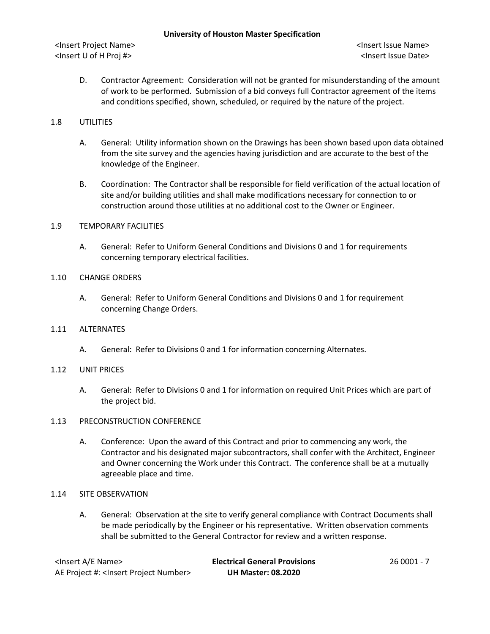D. Contractor Agreement: Consideration will not be granted for misunderstanding of the amount of work to be performed. Submission of a bid conveys full Contractor agreement of the items and conditions specified, shown, scheduled, or required by the nature of the project.

## 1.8 UTILITIES

- A. General: Utility information shown on the Drawings has been shown based upon data obtained from the site survey and the agencies having jurisdiction and are accurate to the best of the knowledge of the Engineer.
- B. Coordination: The Contractor shall be responsible for field verification of the actual location of site and/or building utilities and shall make modifications necessary for connection to or construction around those utilities at no additional cost to the Owner or Engineer.

## 1.9 TEMPORARY FACILITIES

A. General: Refer to Uniform General Conditions and Divisions 0 and 1 for requirements concerning temporary electrical facilities.

### 1.10 CHANGE ORDERS

A. General: Refer to Uniform General Conditions and Divisions 0 and 1 for requirement concerning Change Orders.

## 1.11 ALTERNATES

A. General: Refer to Divisions 0 and 1 for information concerning Alternates.

#### 1.12 UNIT PRICES

A. General: Refer to Divisions 0 and 1 for information on required Unit Prices which are part of the project bid.

#### 1.13 PRECONSTRUCTION CONFERENCE

A. Conference: Upon the award of this Contract and prior to commencing any work, the Contractor and his designated major subcontractors, shall confer with the Architect, Engineer and Owner concerning the Work under this Contract. The conference shall be at a mutually agreeable place and time.

#### 1.14 SITE OBSERVATION

A. General: Observation at the site to verify general compliance with Contract Documents shall be made periodically by the Engineer or his representative. Written observation comments shall be submitted to the General Contractor for review and a written response.

| <lnsert a="" e="" name=""></lnsert>                  | <b>Electrical General Provisions</b> | 26 0001 - 7 |
|------------------------------------------------------|--------------------------------------|-------------|
| AE Project #: <lnsert number="" project=""></lnsert> | <b>UH Master: 08.2020</b>            |             |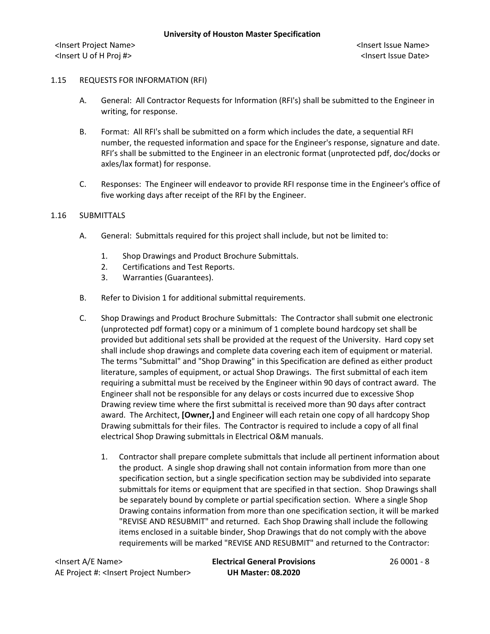#### 1.15 REQUESTS FOR INFORMATION (RFI)

- A. General: All Contractor Requests for Information (RFI's) shall be submitted to the Engineer in writing, for response.
- B. Format: All RFI's shall be submitted on a form which includes the date, a sequential RFI number, the requested information and space for the Engineer's response, signature and date. RFI's shall be submitted to the Engineer in an electronic format (unprotected pdf, doc/docks or axles/lax format) for response.
- C. Responses: The Engineer will endeavor to provide RFI response time in the Engineer's office of five working days after receipt of the RFI by the Engineer.

### 1.16 SUBMITTALS

- A. General: Submittals required for this project shall include, but not be limited to:
	- 1. Shop Drawings and Product Brochure Submittals.
	- 2. Certifications and Test Reports.
	- 3. Warranties (Guarantees).
- B. Refer to Division 1 for additional submittal requirements.
- C. Shop Drawings and Product Brochure Submittals: The Contractor shall submit one electronic (unprotected pdf format) copy or a minimum of 1 complete bound hardcopy set shall be provided but additional sets shall be provided at the request of the University. Hard copy set shall include shop drawings and complete data covering each item of equipment or material. The terms "Submittal" and "Shop Drawing" in this Specification are defined as either product literature, samples of equipment, or actual Shop Drawings. The first submittal of each item requiring a submittal must be received by the Engineer within 90 days of contract award. The Engineer shall not be responsible for any delays or costs incurred due to excessive Shop Drawing review time where the first submittal is received more than 90 days after contract award. The Architect, **[Owner,]** and Engineer will each retain one copy of all hardcopy Shop Drawing submittals for their files. The Contractor is required to include a copy of all final electrical Shop Drawing submittals in Electrical O&M manuals.
	- 1. Contractor shall prepare complete submittals that include all pertinent information about the product. A single shop drawing shall not contain information from more than one specification section, but a single specification section may be subdivided into separate submittals for items or equipment that are specified in that section. Shop Drawings shall be separately bound by complete or partial specification section. Where a single Shop Drawing contains information from more than one specification section, it will be marked "REVISE AND RESUBMIT" and returned. Each Shop Drawing shall include the following items enclosed in a suitable binder, Shop Drawings that do not comply with the above requirements will be marked "REVISE AND RESUBMIT" and returned to the Contractor:

<Insert A/E Name> **Electrical General Provisions** 26 0001 - 8 AE Project #: <Insert Project Number> **UH Master: 08.2020**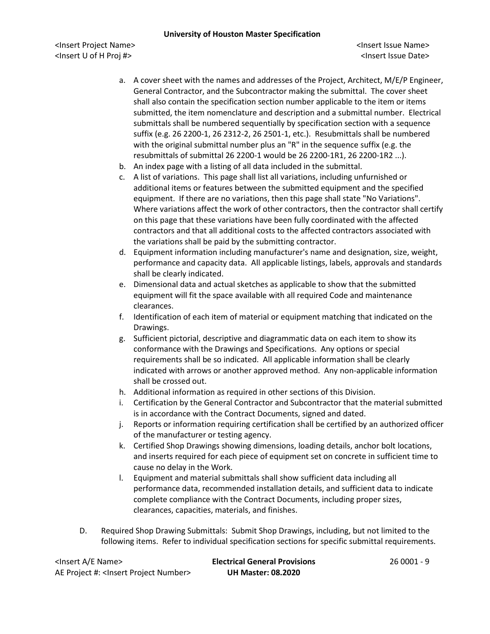<Insert Project Name> <Insert Issue Name> <Insert U of H Proj #> <Insert Issue Date>

- a. A cover sheet with the names and addresses of the Project, Architect, M/E/P Engineer, General Contractor, and the Subcontractor making the submittal. The cover sheet shall also contain the specification section number applicable to the item or items submitted, the item nomenclature and description and a submittal number. Electrical submittals shall be numbered sequentially by specification section with a sequence suffix (e.g. 26 2200-1, 26 2312-2, 26 2501-1, etc.). Resubmittals shall be numbered with the original submittal number plus an "R" in the sequence suffix (e.g. the resubmittals of submittal 26 2200-1 would be 26 2200-1R1, 26 2200-1R2 ...).
- b. An index page with a listing of all data included in the submittal.
- c. A list of variations. This page shall list all variations, including unfurnished or additional items or features between the submitted equipment and the specified equipment. If there are no variations, then this page shall state "No Variations". Where variations affect the work of other contractors, then the contractor shall certify on this page that these variations have been fully coordinated with the affected contractors and that all additional costs to the affected contractors associated with the variations shall be paid by the submitting contractor.
- d. Equipment information including manufacturer's name and designation, size, weight, performance and capacity data. All applicable listings, labels, approvals and standards shall be clearly indicated.
- e. Dimensional data and actual sketches as applicable to show that the submitted equipment will fit the space available with all required Code and maintenance clearances.
- f. Identification of each item of material or equipment matching that indicated on the Drawings.
- g. Sufficient pictorial, descriptive and diagrammatic data on each item to show its conformance with the Drawings and Specifications. Any options or special requirements shall be so indicated. All applicable information shall be clearly indicated with arrows or another approved method. Any non-applicable information shall be crossed out.
- h. Additional information as required in other sections of this Division.
- i. Certification by the General Contractor and Subcontractor that the material submitted is in accordance with the Contract Documents, signed and dated.
- j. Reports or information requiring certification shall be certified by an authorized officer of the manufacturer or testing agency.
- k. Certified Shop Drawings showing dimensions, loading details, anchor bolt locations, and inserts required for each piece of equipment set on concrete in sufficient time to cause no delay in the Work.
- l. Equipment and material submittals shall show sufficient data including all performance data, recommended installation details, and sufficient data to indicate complete compliance with the Contract Documents, including proper sizes, clearances, capacities, materials, and finishes.
- D. Required Shop Drawing Submittals: Submit Shop Drawings, including, but not limited to the following items. Refer to individual specification sections for specific submittal requirements.

<Insert A/E Name> **Electrical General Provisions** 26 0001 - 9 AE Project #: <Insert Project Number> **UH Master: 08.2020**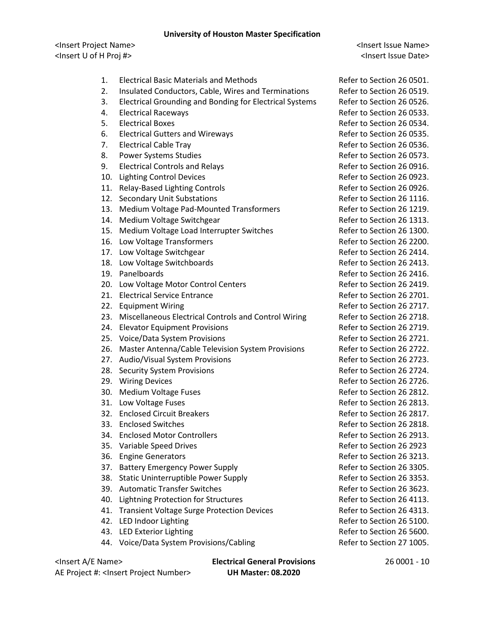<Insert Project Name> <Insert Issue Name> <Insert U of H Proj #> <Insert Issue Date>

- 1. Electrical Basic Materials and Methods **Refer to Section 26 0501.**
- 2. Insulated Conductors, Cable, Wires and Terminations Refer to Section 26 0519.
- 3. Electrical Grounding and Bonding for Electrical Systems Refer to Section 26 0526.
- 
- 
- 6. Electrical Gutters and Wireways **Refer to Section 26 0535.**
- 
- 8. Power Systems Studies **Refer to Section 26 0573.**
- 9. Electrical Controls and Relays **Refer to Section 26 0916.**
- 10. Lighting Control Devices **Refer to Section 26 0923.**
- 11. Relay-Based Lighting Controls **Refer to Section 26 0926.**
- 12. Secondary Unit Substations **Refer to Section 26 1116.**
- 13. Medium Voltage Pad-Mounted Transformers Refer to Section 26 1219.
- 14. Medium Voltage Switchgear **Refer to Section 26 1313.**
- 15. Medium Voltage Load Interrupter Switches Refer to Section 26 1300.
- 16. Low Voltage Transformers **Refer to Section 26 2200.**
- 17. Low Voltage Switchgear **Refer to Section 26 2414.**
- 18. Low Voltage Switchboards **Refer to Section 26 2413.**
- 
- 20. Low Voltage Motor Control Centers The Refer to Section 26 2419.
- 21. Electrical Service Entrance **Refer to Section 26 2701.**
- 
- 23. Miscellaneous Electrical Controls and Control Wiring Refer to Section 26 2718.
- 24. Elevator Equipment Provisions **Refer to Section 26 2719.**
- 25. Voice/Data System Provisions and the Control of Refer to Section 26 2721.
- 26. Master Antenna/Cable Television System Provisions Refer to Section 26 2722.
- 27. Audio/Visual System Provisions and Refer to Section 26 2723.
- 28. Security System Provisions **Refer to Section 26 2724.**
- 
- 30. Medium Voltage Fuses Refer to Section 26 2812.
- 
- 32. Enclosed Circuit Breakers **Refer to Section 26 2817.**
- 
- 34. Enclosed Motor Controllers and the Refer to Section 26 2913.
- 35. Variable Speed Drives **Refer to Section 26 2923**
- 
- 37. Battery Emergency Power Supply **Example 26 and Section 26 3305.**
- 38. Static Uninterruptible Power Supply Refer to Section 26 3353.
- 39. Automatic Transfer Switches **Refer to Section 26 3623.**
- 40. Lightning Protection for Structures **Refer to Section 26 4113.**
- 41. Transient Voltage Surge Protection Devices Refer to Section 26 4313.
- 
- 43. LED Exterior Lighting **Refer to Section 26 5600.**
- 44. Voice/Data System Provisions/Cabling The Refer to Section 27 1005.

AE Project #: <Insert Project Number> **UH Master: 08.2020**

<Insert A/E Name> **Electrical General Provisions** 26 0001 - 10

4. Electrical Raceways **Refer to Section 26 0533.** 5. Electrical Boxes Refer to Section 26 0534. 7. Electrical Cable Tray **Refer to Section 26 0536.** 19. Panelboards **Refer to Section 26 2416.** 22. Equipment Wiring **Refer to Section 26 2717.** 29. Wiring Devices **Refer to Section 26 2726.** 31. Low Voltage Fuses **Refer to Section 26 2813.** 33. Enclosed Switches **Refer to Section 26 2818.** 36. Engine Generators Refer to Section 26 3213. 42. LED Indoor Lighting **Refer to Section 26 5100**.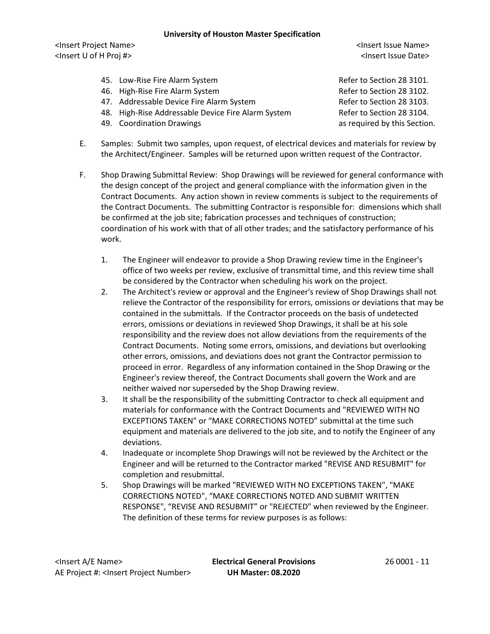<Insert Project Name> <Insert Issue Name> <Insert U of H Proj #> <Insert Issue Date>

- 45. Low-Rise Fire Alarm System **Refer to Section 28 3101.**
- 46. High-Rise Fire Alarm System **Refer to Section 28 3102.**
- 47. Addressable Device Fire Alarm System Refer to Section 28 3103.
- 48. High-Rise Addressable Device Fire Alarm System Refer to Section 28 3104.
- 49. Coordination Drawings **and Coordination Drawings** as required by this Section.

- E. Samples: Submit two samples, upon request, of electrical devices and materials for review by the Architect/Engineer. Samples will be returned upon written request of the Contractor.
- F. Shop Drawing Submittal Review: Shop Drawings will be reviewed for general conformance with the design concept of the project and general compliance with the information given in the Contract Documents. Any action shown in review comments is subject to the requirements of the Contract Documents. The submitting Contractor is responsible for: dimensions which shall be confirmed at the job site; fabrication processes and techniques of construction; coordination of his work with that of all other trades; and the satisfactory performance of his work.
	- 1. The Engineer will endeavor to provide a Shop Drawing review time in the Engineer's office of two weeks per review, exclusive of transmittal time, and this review time shall be considered by the Contractor when scheduling his work on the project.
	- 2. The Architect's review or approval and the Engineer's review of Shop Drawings shall not relieve the Contractor of the responsibility for errors, omissions or deviations that may be contained in the submittals. If the Contractor proceeds on the basis of undetected errors, omissions or deviations in reviewed Shop Drawings, it shall be at his sole responsibility and the review does not allow deviations from the requirements of the Contract Documents. Noting some errors, omissions, and deviations but overlooking other errors, omissions, and deviations does not grant the Contractor permission to proceed in error. Regardless of any information contained in the Shop Drawing or the Engineer's review thereof, the Contract Documents shall govern the Work and are neither waived nor superseded by the Shop Drawing review.
	- 3. It shall be the responsibility of the submitting Contractor to check all equipment and materials for conformance with the Contract Documents and "REVIEWED WITH NO EXCEPTIONS TAKEN" or "MAKE CORRECTIONS NOTED" submittal at the time such equipment and materials are delivered to the job site, and to notify the Engineer of any deviations.
	- 4. Inadequate or incomplete Shop Drawings will not be reviewed by the Architect or the Engineer and will be returned to the Contractor marked "REVISE AND RESUBMIT" for completion and resubmittal.
	- 5. Shop Drawings will be marked "REVIEWED WITH NO EXCEPTIONS TAKEN", "MAKE CORRECTIONS NOTED", "MAKE CORRECTIONS NOTED AND SUBMIT WRITTEN RESPONSE", "REVISE AND RESUBMIT" or "REJECTED" when reviewed by the Engineer. The definition of these terms for review purposes is as follows: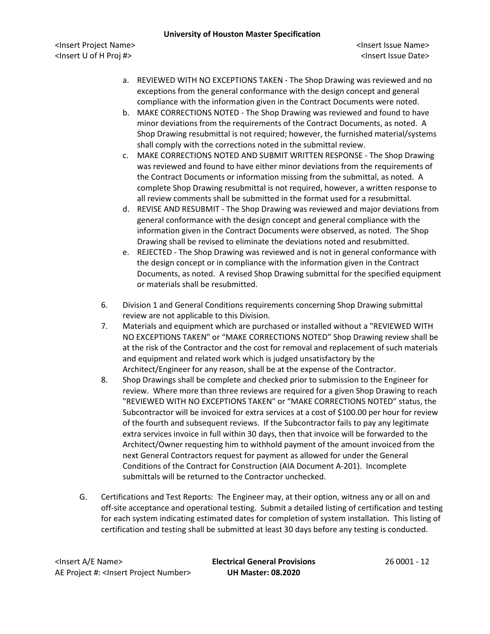<Insert Project Name> <Insert Issue Name> <Insert U of H Proj #> <Insert Issue Date>

- a. REVIEWED WITH NO EXCEPTIONS TAKEN The Shop Drawing was reviewed and no exceptions from the general conformance with the design concept and general compliance with the information given in the Contract Documents were noted.
- b. MAKE CORRECTIONS NOTED The Shop Drawing was reviewed and found to have minor deviations from the requirements of the Contract Documents, as noted. A Shop Drawing resubmittal is not required; however, the furnished material/systems shall comply with the corrections noted in the submittal review.
- c. MAKE CORRECTIONS NOTED AND SUBMIT WRITTEN RESPONSE The Shop Drawing was reviewed and found to have either minor deviations from the requirements of the Contract Documents or information missing from the submittal, as noted. A complete Shop Drawing resubmittal is not required, however, a written response to all review comments shall be submitted in the format used for a resubmittal.
- d. REVISE AND RESUBMIT The Shop Drawing was reviewed and major deviations from general conformance with the design concept and general compliance with the information given in the Contract Documents were observed, as noted. The Shop Drawing shall be revised to eliminate the deviations noted and resubmitted.
- e. REJECTED The Shop Drawing was reviewed and is not in general conformance with the design concept or in compliance with the information given in the Contract Documents, as noted. A revised Shop Drawing submittal for the specified equipment or materials shall be resubmitted.
- 6. Division 1 and General Conditions requirements concerning Shop Drawing submittal review are not applicable to this Division.
- 7. Materials and equipment which are purchased or installed without a "REVIEWED WITH NO EXCEPTIONS TAKEN" or "MAKE CORRECTIONS NOTED" Shop Drawing review shall be at the risk of the Contractor and the cost for removal and replacement of such materials and equipment and related work which is judged unsatisfactory by the Architect/Engineer for any reason, shall be at the expense of the Contractor.
- 8. Shop Drawings shall be complete and checked prior to submission to the Engineer for review. Where more than three reviews are required for a given Shop Drawing to reach "REVIEWED WITH NO EXCEPTIONS TAKEN" or "MAKE CORRECTIONS NOTED" status, the Subcontractor will be invoiced for extra services at a cost of \$100.00 per hour for review of the fourth and subsequent reviews. If the Subcontractor fails to pay any legitimate extra services invoice in full within 30 days, then that invoice will be forwarded to the Architect/Owner requesting him to withhold payment of the amount invoiced from the next General Contractors request for payment as allowed for under the General Conditions of the Contract for Construction (AIA Document A-201). Incomplete submittals will be returned to the Contractor unchecked.
- G. Certifications and Test Reports: The Engineer may, at their option, witness any or all on and off-site acceptance and operational testing. Submit a detailed listing of certification and testing for each system indicating estimated dates for completion of system installation. This listing of certification and testing shall be submitted at least 30 days before any testing is conducted.

<Insert A/E Name> **Electrical General Provisions** 26 0001 - 12 AE Project #: <Insert Project Number> **UH Master: 08.2020**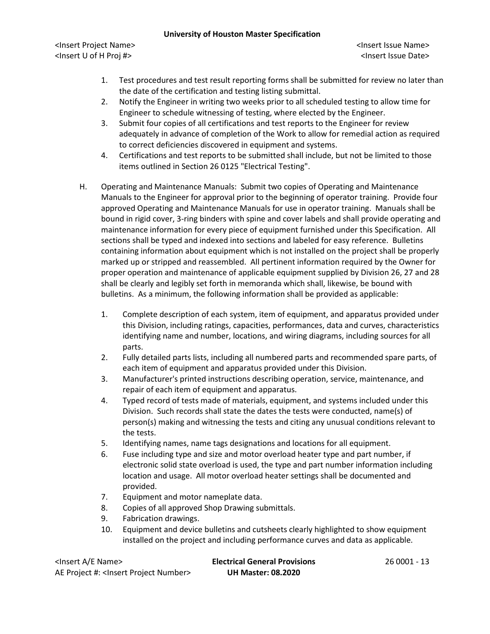<Insert Project Name> <Insert Issue Name> <Insert U of H Proj #> <Insert Issue Date>

- 1. Test procedures and test result reporting forms shall be submitted for review no later than the date of the certification and testing listing submittal.
- 2. Notify the Engineer in writing two weeks prior to all scheduled testing to allow time for Engineer to schedule witnessing of testing, where elected by the Engineer.
- 3. Submit four copies of all certifications and test reports to the Engineer for review adequately in advance of completion of the Work to allow for remedial action as required to correct deficiencies discovered in equipment and systems.
- 4. Certifications and test reports to be submitted shall include, but not be limited to those items outlined in Section 26 0125 "Electrical Testing".
- H. Operating and Maintenance Manuals: Submit two copies of Operating and Maintenance Manuals to the Engineer for approval prior to the beginning of operator training. Provide four approved Operating and Maintenance Manuals for use in operator training. Manuals shall be bound in rigid cover, 3-ring binders with spine and cover labels and shall provide operating and maintenance information for every piece of equipment furnished under this Specification. All sections shall be typed and indexed into sections and labeled for easy reference. Bulletins containing information about equipment which is not installed on the project shall be properly marked up or stripped and reassembled. All pertinent information required by the Owner for proper operation and maintenance of applicable equipment supplied by Division 26, 27 and 28 shall be clearly and legibly set forth in memoranda which shall, likewise, be bound with bulletins. As a minimum, the following information shall be provided as applicable:
	- 1. Complete description of each system, item of equipment, and apparatus provided under this Division, including ratings, capacities, performances, data and curves, characteristics identifying name and number, locations, and wiring diagrams, including sources for all parts.
	- 2. Fully detailed parts lists, including all numbered parts and recommended spare parts, of each item of equipment and apparatus provided under this Division.
	- 3. Manufacturer's printed instructions describing operation, service, maintenance, and repair of each item of equipment and apparatus.
	- 4. Typed record of tests made of materials, equipment, and systems included under this Division. Such records shall state the dates the tests were conducted, name(s) of person(s) making and witnessing the tests and citing any unusual conditions relevant to the tests.
	- 5. Identifying names, name tags designations and locations for all equipment.
	- 6. Fuse including type and size and motor overload heater type and part number, if electronic solid state overload is used, the type and part number information including location and usage. All motor overload heater settings shall be documented and provided.
	- 7. Equipment and motor nameplate data.
	- 8. Copies of all approved Shop Drawing submittals.
	- 9. Fabrication drawings.
	- 10. Equipment and device bulletins and cutsheets clearly highlighted to show equipment installed on the project and including performance curves and data as applicable.

| <lnsert a="" e="" name=""></lnsert>                  | <b>Electrical General Provisions</b> | 26 0001 - 13 |
|------------------------------------------------------|--------------------------------------|--------------|
| AE Project #: <lnsert number="" project=""></lnsert> | <b>UH Master: 08.2020</b>            |              |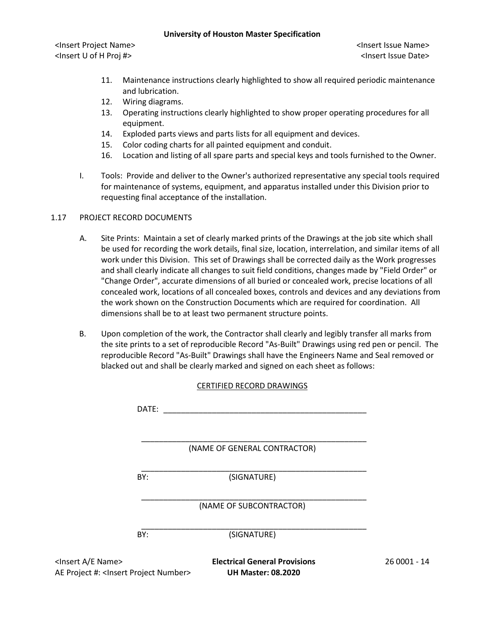<Insert Project Name> <Insert Issue Name> <Insert U of H Proj #> <Insert Issue Date>

- 11. Maintenance instructions clearly highlighted to show all required periodic maintenance and lubrication.
- 12. Wiring diagrams.
- 13. Operating instructions clearly highlighted to show proper operating procedures for all equipment.
- 14. Exploded parts views and parts lists for all equipment and devices.
- 15. Color coding charts for all painted equipment and conduit.
- 16. Location and listing of all spare parts and special keys and tools furnished to the Owner.
- I. Tools: Provide and deliver to the Owner's authorized representative any special tools required for maintenance of systems, equipment, and apparatus installed under this Division prior to requesting final acceptance of the installation.

## 1.17 PROJECT RECORD DOCUMENTS

- A. Site Prints: Maintain a set of clearly marked prints of the Drawings at the job site which shall be used for recording the work details, final size, location, interrelation, and similar items of all work under this Division. This set of Drawings shall be corrected daily as the Work progresses and shall clearly indicate all changes to suit field conditions, changes made by "Field Order" or "Change Order", accurate dimensions of all buried or concealed work, precise locations of all concealed work, locations of all concealed boxes, controls and devices and any deviations from the work shown on the Construction Documents which are required for coordination. All dimensions shall be to at least two permanent structure points.
- B. Upon completion of the work, the Contractor shall clearly and legibly transfer all marks from the site prints to a set of reproducible Record "As-Built" Drawings using red pen or pencil. The reproducible Record "As-Built" Drawings shall have the Engineers Name and Seal removed or blacked out and shall be clearly marked and signed on each sheet as follows:

#### CERTIFIED RECORD DRAWINGS

|                                                                                     | DATE: |                                                              |              |
|-------------------------------------------------------------------------------------|-------|--------------------------------------------------------------|--------------|
|                                                                                     |       | (NAME OF GENERAL CONTRACTOR)                                 |              |
|                                                                                     | BY:   | (SIGNATURE)                                                  |              |
|                                                                                     |       | (NAME OF SUBCONTRACTOR)                                      |              |
|                                                                                     | BY:   | (SIGNATURE)                                                  |              |
| <insert a="" e="" name=""><br/>A.E. Project #: &lt; Insect Project Numbers</insert> |       | <b>Electrical General Provisions</b><br>IILI Mactari 00 JOJO | 26 0001 - 14 |

AE Project #: <Insert Project Number> **UH Master: 08.2020**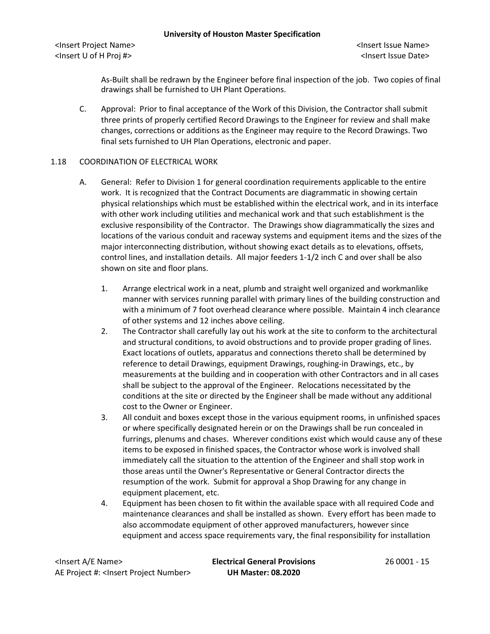<Insert Project Name> <Insert Issue Name> <Insert U of H Proj #> <Insert Issue Date>

As-Built shall be redrawn by the Engineer before final inspection of the job. Two copies of final drawings shall be furnished to UH Plant Operations.

C. Approval: Prior to final acceptance of the Work of this Division, the Contractor shall submit three prints of properly certified Record Drawings to the Engineer for review and shall make changes, corrections or additions as the Engineer may require to the Record Drawings. Two final sets furnished to UH Plan Operations, electronic and paper.

### 1.18 COORDINATION OF ELECTRICAL WORK

- A. General: Refer to Division 1 for general coordination requirements applicable to the entire work. It is recognized that the Contract Documents are diagrammatic in showing certain physical relationships which must be established within the electrical work, and in its interface with other work including utilities and mechanical work and that such establishment is the exclusive responsibility of the Contractor. The Drawings show diagrammatically the sizes and locations of the various conduit and raceway systems and equipment items and the sizes of the major interconnecting distribution, without showing exact details as to elevations, offsets, control lines, and installation details. All major feeders 1-1/2 inch C and over shall be also shown on site and floor plans.
	- 1. Arrange electrical work in a neat, plumb and straight well organized and workmanlike manner with services running parallel with primary lines of the building construction and with a minimum of 7 foot overhead clearance where possible. Maintain 4 inch clearance of other systems and 12 inches above ceiling.
	- 2. The Contractor shall carefully lay out his work at the site to conform to the architectural and structural conditions, to avoid obstructions and to provide proper grading of lines. Exact locations of outlets, apparatus and connections thereto shall be determined by reference to detail Drawings, equipment Drawings, roughing-in Drawings, etc., by measurements at the building and in cooperation with other Contractors and in all cases shall be subject to the approval of the Engineer. Relocations necessitated by the conditions at the site or directed by the Engineer shall be made without any additional cost to the Owner or Engineer.
	- 3. All conduit and boxes except those in the various equipment rooms, in unfinished spaces or where specifically designated herein or on the Drawings shall be run concealed in furrings, plenums and chases. Wherever conditions exist which would cause any of these items to be exposed in finished spaces, the Contractor whose work is involved shall immediately call the situation to the attention of the Engineer and shall stop work in those areas until the Owner's Representative or General Contractor directs the resumption of the work. Submit for approval a Shop Drawing for any change in equipment placement, etc.
	- 4. Equipment has been chosen to fit within the available space with all required Code and maintenance clearances and shall be installed as shown. Every effort has been made to also accommodate equipment of other approved manufacturers, however since equipment and access space requirements vary, the final responsibility for installation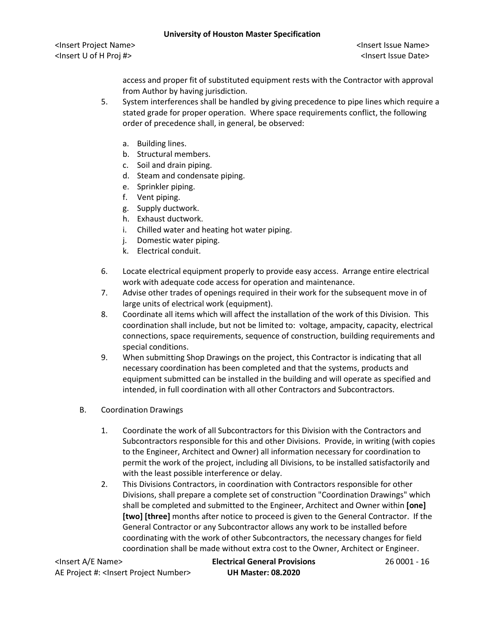<Insert Project Name> <Insert Issue Name> <Insert U of H Proj #> <Insert Issue Date>

access and proper fit of substituted equipment rests with the Contractor with approval from Author by having jurisdiction.

- 5. System interferences shall be handled by giving precedence to pipe lines which require a stated grade for proper operation. Where space requirements conflict, the following order of precedence shall, in general, be observed:
	- a. Building lines.
	- b. Structural members.
	- c. Soil and drain piping.
	- d. Steam and condensate piping.
	- e. Sprinkler piping.
	- f. Vent piping.
	- g. Supply ductwork.
	- h. Exhaust ductwork.
	- i. Chilled water and heating hot water piping.
	- j. Domestic water piping.
	- k. Electrical conduit.
- 6. Locate electrical equipment properly to provide easy access. Arrange entire electrical work with adequate code access for operation and maintenance.
- 7. Advise other trades of openings required in their work for the subsequent move in of large units of electrical work (equipment).
- 8. Coordinate all items which will affect the installation of the work of this Division. This coordination shall include, but not be limited to: voltage, ampacity, capacity, electrical connections, space requirements, sequence of construction, building requirements and special conditions.
- 9. When submitting Shop Drawings on the project, this Contractor is indicating that all necessary coordination has been completed and that the systems, products and equipment submitted can be installed in the building and will operate as specified and intended, in full coordination with all other Contractors and Subcontractors.
- B. Coordination Drawings
	- 1. Coordinate the work of all Subcontractors for this Division with the Contractors and Subcontractors responsible for this and other Divisions. Provide, in writing (with copies to the Engineer, Architect and Owner) all information necessary for coordination to permit the work of the project, including all Divisions, to be installed satisfactorily and with the least possible interference or delay.
	- 2. This Divisions Contractors, in coordination with Contractors responsible for other Divisions, shall prepare a complete set of construction "Coordination Drawings" which shall be completed and submitted to the Engineer, Architect and Owner within **[one] [two] [three]** months after notice to proceed is given to the General Contractor. If the General Contractor or any Subcontractor allows any work to be installed before coordinating with the work of other Subcontractors, the necessary changes for field coordination shall be made without extra cost to the Owner, Architect or Engineer.

<Insert A/E Name> **Electrical General Provisions** 26 0001 - 16 AE Project #: <Insert Project Number> **UH Master: 08.2020**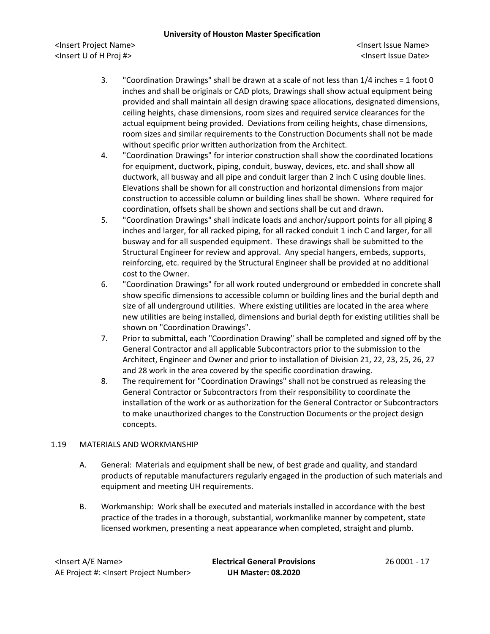<Insert Project Name> <Insert Issue Name> <Insert U of H Proj #> <Insert Issue Date>

- 3. "Coordination Drawings" shall be drawn at a scale of not less than 1/4 inches = 1 foot 0 inches and shall be originals or CAD plots, Drawings shall show actual equipment being provided and shall maintain all design drawing space allocations, designated dimensions, ceiling heights, chase dimensions, room sizes and required service clearances for the actual equipment being provided. Deviations from ceiling heights, chase dimensions, room sizes and similar requirements to the Construction Documents shall not be made without specific prior written authorization from the Architect.
- 4. "Coordination Drawings" for interior construction shall show the coordinated locations for equipment, ductwork, piping, conduit, busway, devices, etc. and shall show all ductwork, all busway and all pipe and conduit larger than 2 inch C using double lines. Elevations shall be shown for all construction and horizontal dimensions from major construction to accessible column or building lines shall be shown. Where required for coordination, offsets shall be shown and sections shall be cut and drawn.
- 5. "Coordination Drawings" shall indicate loads and anchor/support points for all piping 8 inches and larger, for all racked piping, for all racked conduit 1 inch C and larger, for all busway and for all suspended equipment. These drawings shall be submitted to the Structural Engineer for review and approval. Any special hangers, embeds, supports, reinforcing, etc. required by the Structural Engineer shall be provided at no additional cost to the Owner.
- 6. "Coordination Drawings" for all work routed underground or embedded in concrete shall show specific dimensions to accessible column or building lines and the burial depth and size of all underground utilities. Where existing utilities are located in the area where new utilities are being installed, dimensions and burial depth for existing utilities shall be shown on "Coordination Drawings".
- 7. Prior to submittal, each "Coordination Drawing" shall be completed and signed off by the General Contractor and all applicable Subcontractors prior to the submission to the Architect, Engineer and Owner and prior to installation of Division 21, 22, 23, 25, 26, 27 and 28 work in the area covered by the specific coordination drawing.
- 8. The requirement for "Coordination Drawings" shall not be construed as releasing the General Contractor or Subcontractors from their responsibility to coordinate the installation of the work or as authorization for the General Contractor or Subcontractors to make unauthorized changes to the Construction Documents or the project design concepts.

## 1.19 MATERIALS AND WORKMANSHIP

- A. General: Materials and equipment shall be new, of best grade and quality, and standard products of reputable manufacturers regularly engaged in the production of such materials and equipment and meeting UH requirements.
- B. Workmanship: Work shall be executed and materials installed in accordance with the best practice of the trades in a thorough, substantial, workmanlike manner by competent, state licensed workmen, presenting a neat appearance when completed, straight and plumb.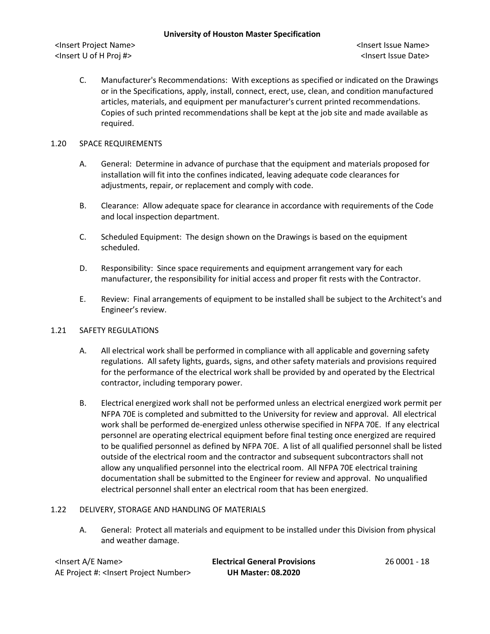<Insert Project Name> <Insert Issue Name> <Insert U of H Proj #> <Insert Issue Date>

C. Manufacturer's Recommendations: With exceptions as specified or indicated on the Drawings or in the Specifications, apply, install, connect, erect, use, clean, and condition manufactured articles, materials, and equipment per manufacturer's current printed recommendations. Copies of such printed recommendations shall be kept at the job site and made available as required.

### 1.20 SPACE REQUIREMENTS

- A. General: Determine in advance of purchase that the equipment and materials proposed for installation will fit into the confines indicated, leaving adequate code clearances for adjustments, repair, or replacement and comply with code.
- B. Clearance: Allow adequate space for clearance in accordance with requirements of the Code and local inspection department.
- C. Scheduled Equipment: The design shown on the Drawings is based on the equipment scheduled.
- D. Responsibility: Since space requirements and equipment arrangement vary for each manufacturer, the responsibility for initial access and proper fit rests with the Contractor.
- E. Review: Final arrangements of equipment to be installed shall be subject to the Architect's and Engineer's review.

## 1.21 SAFETY REGULATIONS

- A. All electrical work shall be performed in compliance with all applicable and governing safety regulations. All safety lights, guards, signs, and other safety materials and provisions required for the performance of the electrical work shall be provided by and operated by the Electrical contractor, including temporary power.
- B. Electrical energized work shall not be performed unless an electrical energized work permit per NFPA 70E is completed and submitted to the University for review and approval. All electrical work shall be performed de-energized unless otherwise specified in NFPA 70E. If any electrical personnel are operating electrical equipment before final testing once energized are required to be qualified personnel as defined by NFPA 70E. A list of all qualified personnel shall be listed outside of the electrical room and the contractor and subsequent subcontractors shall not allow any unqualified personnel into the electrical room. All NFPA 70E electrical training documentation shall be submitted to the Engineer for review and approval. No unqualified electrical personnel shall enter an electrical room that has been energized.

#### 1.22 DELIVERY, STORAGE AND HANDLING OF MATERIALS

A. General: Protect all materials and equipment to be installed under this Division from physical and weather damage.

<Insert A/E Name> **Electrical General Provisions** 26 0001 - 18 AE Project #: <Insert Project Number> **UH Master: 08.2020**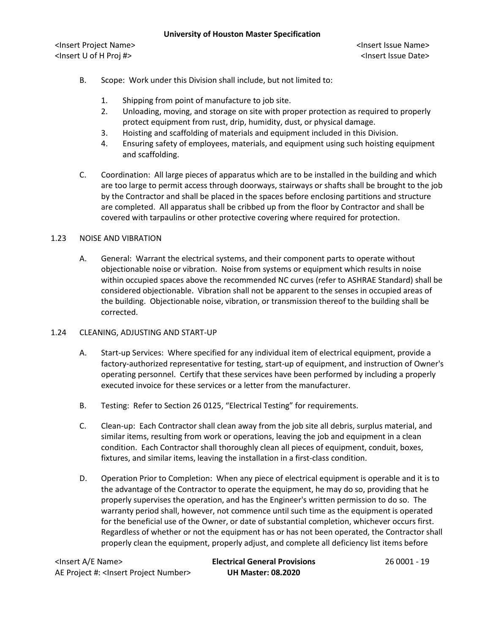<Insert Project Name> <Insert Issue Name> <Insert U of H Proj #> <Insert Issue Date>

- B. Scope: Work under this Division shall include, but not limited to:
	- 1. Shipping from point of manufacture to job site.
	- 2. Unloading, moving, and storage on site with proper protection as required to properly protect equipment from rust, drip, humidity, dust, or physical damage.
	- 3. Hoisting and scaffolding of materials and equipment included in this Division.
	- 4. Ensuring safety of employees, materials, and equipment using such hoisting equipment and scaffolding.
- C. Coordination: All large pieces of apparatus which are to be installed in the building and which are too large to permit access through doorways, stairways or shafts shall be brought to the job by the Contractor and shall be placed in the spaces before enclosing partitions and structure are completed. All apparatus shall be cribbed up from the floor by Contractor and shall be covered with tarpaulins or other protective covering where required for protection.

## 1.23 NOISE AND VIBRATION

A. General: Warrant the electrical systems, and their component parts to operate without objectionable noise or vibration. Noise from systems or equipment which results in noise within occupied spaces above the recommended NC curves (refer to ASHRAE Standard) shall be considered objectionable. Vibration shall not be apparent to the senses in occupied areas of the building. Objectionable noise, vibration, or transmission thereof to the building shall be corrected.

## 1.24 CLEANING, ADJUSTING AND START-UP

- A. Start-up Services: Where specified for any individual item of electrical equipment, provide a factory-authorized representative for testing, start-up of equipment, and instruction of Owner's operating personnel. Certify that these services have been performed by including a properly executed invoice for these services or a letter from the manufacturer.
- B. Testing: Refer to Section 26 0125, "Electrical Testing" for requirements.
- C. Clean-up: Each Contractor shall clean away from the job site all debris, surplus material, and similar items, resulting from work or operations, leaving the job and equipment in a clean condition. Each Contractor shall thoroughly clean all pieces of equipment, conduit, boxes, fixtures, and similar items, leaving the installation in a first-class condition.
- D. Operation Prior to Completion: When any piece of electrical equipment is operable and it is to the advantage of the Contractor to operate the equipment, he may do so, providing that he properly supervises the operation, and has the Engineer's written permission to do so. The warranty period shall, however, not commence until such time as the equipment is operated for the beneficial use of the Owner, or date of substantial completion, whichever occurs first. Regardless of whether or not the equipment has or has not been operated, the Contractor shall properly clean the equipment, properly adjust, and complete all deficiency list items before

<Insert A/E Name> **Electrical General Provisions** 26 0001 - 19 AE Project #: <Insert Project Number> **UH Master: 08.2020**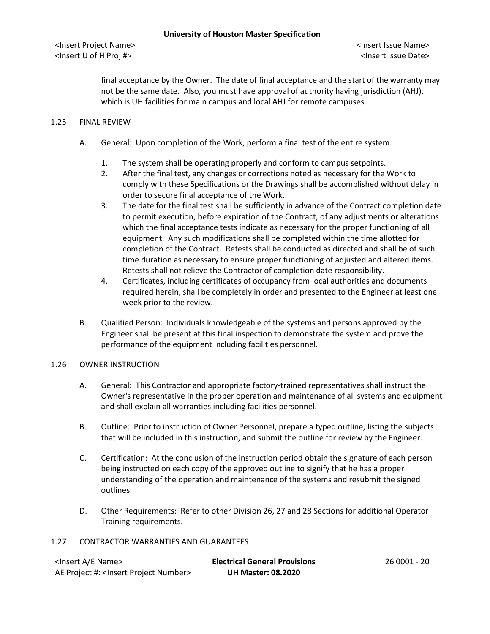final acceptance by the Owner. The date of final acceptance and the start of the warranty may not be the same date. Also, you must have approval of authority having jurisdiction (AHJ), which is UH facilities for main campus and local AHJ for remote campuses.

#### 1.25 FINAL REVIEW

- A. General: Upon completion of the Work, perform a final test of the entire system.
	- 1. The system shall be operating properly and conform to campus setpoints.
	- 2. After the final test, any changes or corrections noted as necessary for the Work to comply with these Specifications or the Drawings shall be accomplished without delay in order to secure final acceptance of the Work.
	- 3. The date for the final test shall be sufficiently in advance of the Contract completion date to permit execution, before expiration of the Contract, of any adjustments or alterations which the final acceptance tests indicate as necessary for the proper functioning of all equipment. Any such modifications shall be completed within the time allotted for completion of the Contract. Retests shall be conducted as directed and shall be of such time duration as necessary to ensure proper functioning of adjusted and altered items. Retests shall not relieve the Contractor of completion date responsibility.
	- 4. Certificates, including certificates of occupancy from local authorities and documents required herein, shall be completely in order and presented to the Engineer at least one week prior to the review.
- B. Qualified Person: Individuals knowledgeable of the systems and persons approved by the Engineer shall be present at this final inspection to demonstrate the system and prove the performance of the equipment including facilities personnel.

#### 1.26 OWNER INSTRUCTION

- A. General: This Contractor and appropriate factory-trained representatives shall instruct the Owner's representative in the proper operation and maintenance of all systems and equipment and shall explain all warranties including facilities personnel.
- B. Outline: Prior to instruction of Owner Personnel, prepare a typed outline, listing the subjects that will be included in this instruction, and submit the outline for review by the Engineer.
- C. Certification: At the conclusion of the instruction period obtain the signature of each person being instructed on each copy of the approved outline to signify that he has a proper understanding of the operation and maintenance of the systems and resubmit the signed outlines.
- D. Other Requirements: Refer to other Division 26, 27 and 28 Sections for additional Operator Training requirements.

#### 1.27 CONTRACTOR WARRANTIES AND GUARANTEES

| <lnsert a="" e="" name=""></lnsert>                  | <b>Electrical General Provisions</b> | 26 0001 - 20 |
|------------------------------------------------------|--------------------------------------|--------------|
| AE Project #: <lnsert number="" project=""></lnsert> | <b>UH Master: 08.2020</b>            |              |